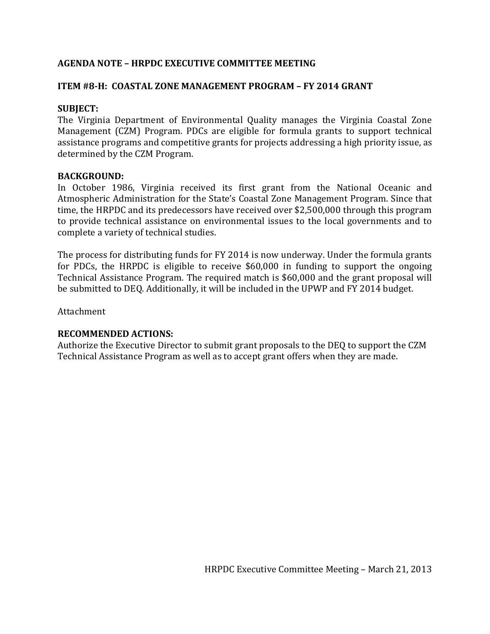# **AGENDA NOTE – HRPDC EXECUTIVE COMMITTEE MEETING**

### **ITEM #8-H: COASTAL ZONE MANAGEMENT PROGRAM – FY 2014 GRANT**

### **SUBJECT:**

The Virginia Department of Environmental Quality manages the Virginia Coastal Zone Management (CZM) Program. PDCs are eligible for formula grants to support technical assistance programs and competitive grants for projects addressing a high priority issue, as determined by the CZM Program.

### **BACKGROUND:**

In October 1986, Virginia received its first grant from the National Oceanic and Atmospheric Administration for the State's Coastal Zone Management Program. Since that time, the HRPDC and its predecessors have received over \$2,500,000 through this program to provide technical assistance on environmental issues to the local governments and to complete a variety of technical studies.

The process for distributing funds for FY 2014 is now underway. Under the formula grants for PDCs, the HRPDC is eligible to receive \$60,000 in funding to support the ongoing Technical Assistance Program. The required match is \$60,000 and the grant proposal will be submitted to DEQ. Additionally, it will be included in the UPWP and FY 2014 budget.

Attachment

### **RECOMMENDED ACTIONS:**

Authorize the Executive Director to submit grant proposals to the DEQ to support the CZM Technical Assistance Program as well as to accept grant offers when they are made.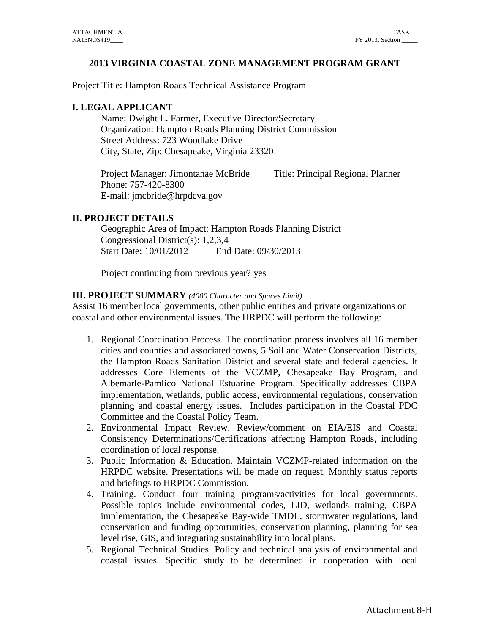### **2013 VIRGINIA COASTAL ZONE MANAGEMENT PROGRAM GRANT**

Project Title: Hampton Roads Technical Assistance Program

# **I. LEGAL APPLICANT**

Name: Dwight L. Farmer, Executive Director/Secretary Organization: Hampton Roads Planning District Commission Street Address: 723 Woodlake Drive City, State, Zip: Chesapeake, Virginia 23320

Project Manager: Jimontanae McBride Title: Principal Regional Planner Phone: 757-420-8300 E-mail: jmcbride@hrpdcva.gov

### **II. PROJECT DETAILS**

Geographic Area of Impact: Hampton Roads Planning District Congressional District(s): 1,2,3,4 Start Date: 10/01/2012 End Date: 09/30/2013

Project continuing from previous year? yes

### **III. PROJECT SUMMARY** *(4000 Character and Spaces Limit)*

Assist 16 member local governments, other public entities and private organizations on coastal and other environmental issues. The HRPDC will perform the following:

- 1. Regional Coordination Process. The coordination process involves all 16 member cities and counties and associated towns, 5 Soil and Water Conservation Districts, the Hampton Roads Sanitation District and several state and federal agencies. It addresses Core Elements of the VCZMP, Chesapeake Bay Program, and Albemarle-Pamlico National Estuarine Program. Specifically addresses CBPA implementation, wetlands, public access, environmental regulations, conservation planning and coastal energy issues. Includes participation in the Coastal PDC Committee and the Coastal Policy Team.
- 2. Environmental Impact Review. Review/comment on EIA/EIS and Coastal Consistency Determinations/Certifications affecting Hampton Roads, including coordination of local response.
- 3. Public Information & Education. Maintain VCZMP-related information on the HRPDC website. Presentations will be made on request. Monthly status reports and briefings to HRPDC Commission.
- 4. Training. Conduct four training programs/activities for local governments. Possible topics include environmental codes, LID, wetlands training, CBPA implementation, the Chesapeake Bay-wide TMDL, stormwater regulations, land conservation and funding opportunities, conservation planning, planning for sea level rise, GIS, and integrating sustainability into local plans.
- 5. Regional Technical Studies. Policy and technical analysis of environmental and coastal issues. Specific study to be determined in cooperation with local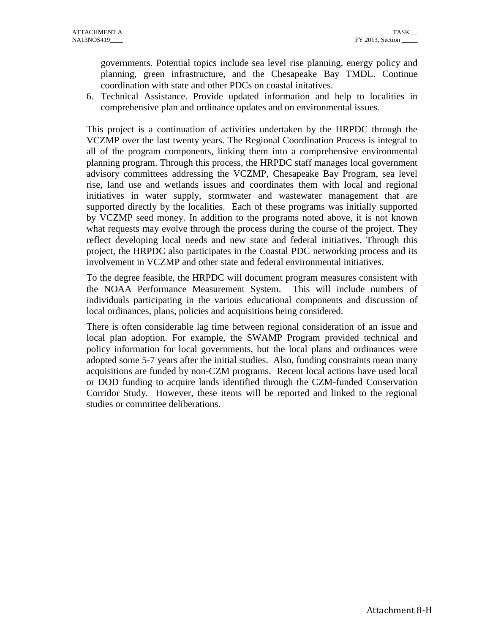governments. Potential topics include sea level rise planning, energy policy and planning, green infrastructure, and the Chesapeake Bay TMDL. Continue coordination with state and other PDCs on coastal initatives.

6. Technical Assistance. Provide updated information and help to localities in comprehensive plan and ordinance updates and on environmental issues.

This project is a continuation of activities undertaken by the HRPDC through the VCZMP over the last twenty years. The Regional Coordination Process is integral to all of the program components, linking them into a comprehensive environmental planning program. Through this process, the HRPDC staff manages local government advisory committees addressing the VCZMP, Chesapeake Bay Program, sea level rise, land use and wetlands issues and coordinates them with local and regional initiatives in water supply, stormwater and wastewater management that are supported directly by the localities. Each of these programs was initially supported by VCZMP seed money. In addition to the programs noted above, it is not known what requests may evolve through the process during the course of the project. They reflect developing local needs and new state and federal initiatives. Through this project, the HRPDC also participates in the Coastal PDC networking process and its involvement in VCZMP and other state and federal environmental initiatives.

To the degree feasible, the HRPDC will document program measures consistent with the NOAA Performance Measurement System. This will include numbers of individuals participating in the various educational components and discussion of local ordinances, plans, policies and acquisitions being considered.

There is often considerable lag time between regional consideration of an issue and local plan adoption. For example, the SWAMP Program provided technical and policy information for local governments, but the local plans and ordinances were adopted some 5-7 years after the initial studies. Also, funding constraints mean many acquisitions are funded by non-CZM programs. Recent local actions have used local or DOD funding to acquire lands identified through the CZM-funded Conservation Corridor Study. However, these items will be reported and linked to the regional studies or committee deliberations.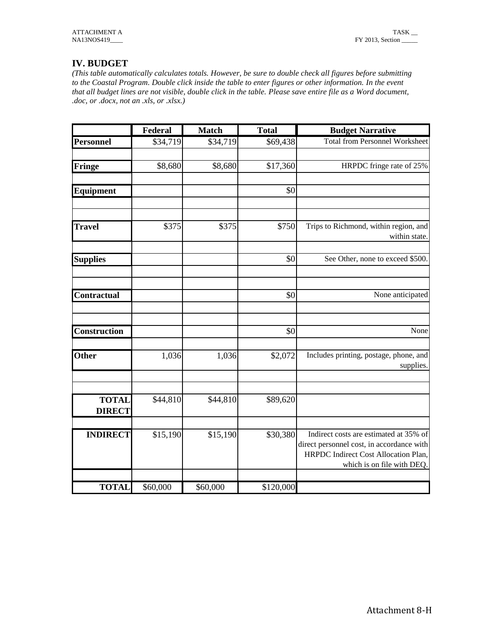# **IV. BUDGET**

*(This table automatically calculates totals. However, be sure to double check all figures before submitting to the Coastal Program. Double click inside the table to enter figures or other information. In the event .doc, or .docx, not an .xls, or .xlsx.)* 

| doc, or .docx, not an .xls, or .xlsx.) |          |              |              | that all budget lines are not visible, double click in the table. Please save entire file as a Word document,                                             |
|----------------------------------------|----------|--------------|--------------|-----------------------------------------------------------------------------------------------------------------------------------------------------------|
|                                        | Federal  | <b>Match</b> | <b>Total</b> | <b>Budget Narrative</b>                                                                                                                                   |
| <b>Personnel</b>                       | \$34,719 | \$34,719     | \$69,438     | <b>Total from Personnel Worksheet</b>                                                                                                                     |
| Fringe                                 | \$8,680  | \$8,680      | \$17,360     | HRPDC fringe rate of 25%                                                                                                                                  |
| <b>Equipment</b>                       |          |              | \$0          |                                                                                                                                                           |
| <b>Travel</b>                          | \$375    | \$375        | \$750        | Trips to Richmond, within region, and<br>within state.                                                                                                    |
| <b>Supplies</b>                        |          |              | \$0          | See Other, none to exceed \$500.                                                                                                                          |
| Contractual                            |          |              | \$0          | None anticipated                                                                                                                                          |
| <b>Construction</b>                    |          |              | \$0          | None                                                                                                                                                      |
| <b>Other</b>                           | 1,036    | 1,036        | \$2,072      | Includes printing, postage, phone, and<br>supplies.                                                                                                       |
| <b>TOTAL</b><br><b>DIRECT</b>          | \$44,810 | \$44,810     | \$89,620     |                                                                                                                                                           |
| <b>INDIRECT</b>                        | \$15,190 | \$15,190     | \$30,380     | Indirect costs are estimated at 35% of<br>direct personnel cost, in accordance with<br>HRPDC Indirect Cost Allocation Plan,<br>which is on file with DEQ. |
| <b>TOTAL</b>                           | \$60,000 | \$60,000     | \$120,000    |                                                                                                                                                           |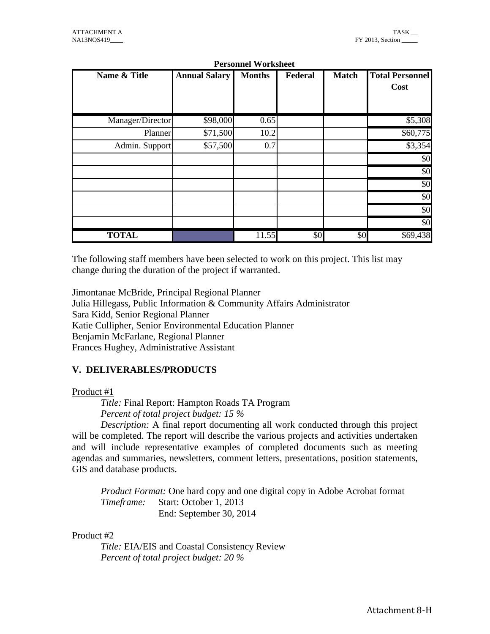| NA13NOS419       |                      |                            |                |              |                                |
|------------------|----------------------|----------------------------|----------------|--------------|--------------------------------|
|                  |                      | <b>Personnel Worksheet</b> |                |              |                                |
| Name & Title     | <b>Annual Salary</b> | <b>Months</b>              | <b>Federal</b> | <b>Match</b> | <b>Total Personnel</b><br>Cost |
| Manager/Director | \$98,000             | 0.65                       |                |              | \$5,308                        |
| Planner          | \$71,500             | 10.2                       |                |              | \$60,775                       |
| Admin. Support   | \$57,500             | 0.7                        |                |              | \$3,354                        |
|                  |                      |                            |                |              | \$0                            |
|                  |                      |                            |                |              | $ 10\rangle$                   |
|                  |                      |                            |                |              | \$0                            |
|                  |                      |                            |                |              | \$0                            |
|                  |                      |                            |                |              | $ 10\rangle$                   |
|                  |                      |                            |                |              | $\sqrt{50}$                    |
| <b>TOTAL</b>     |                      | 11.55                      | \$0            | \$0          | \$69,438                       |

#### **Personnel Worksheet**

The following staff members have been selected to work on this project. This list may change during the duration of the project if warranted.

Jimontanae McBride, Principal Regional Planner Julia Hillegass, Public Information & Community Affairs Administrator Sara Kidd, Senior Regional Planner Katie Cullipher, Senior Environmental Education Planner Benjamin McFarlane, Regional Planner Frances Hughey, Administrative Assistant

# **V. DELIVERABLES/PRODUCTS**

### Product #1

*Title:* Final Report: Hampton Roads TA Program *Percent of total project budget: 15 %*

*Description:* A final report documenting all work conducted through this project will be completed. The report will describe the various projects and activities undertaken and will include representative examples of completed documents such as meeting agendas and summaries, newsletters, comment letters, presentations, position statements, GIS and database products.

*Product Format:* One hard copy and one digital copy in Adobe Acrobat format *Timeframe:* Start: October 1, 2013 End: September 30, 2014

### Product #2

*Title:* EIA/EIS and Coastal Consistency Review *Percent of total project budget: 20 %*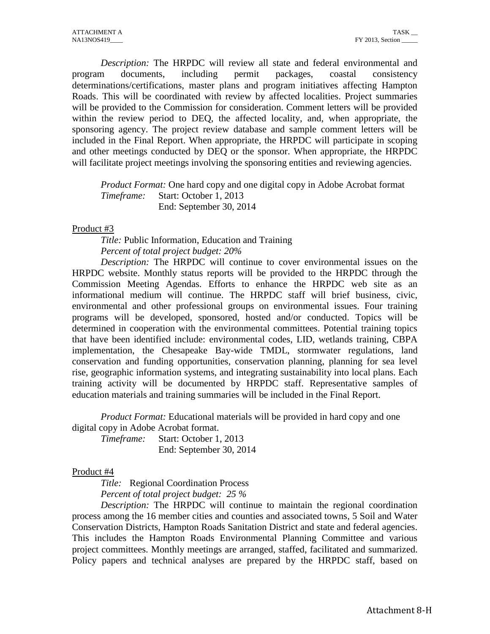*Description:* The HRPDC will review all state and federal environmental and program documents, including permit packages, coastal consistency determinations/certifications, master plans and program initiatives affecting Hampton Roads. This will be coordinated with review by affected localities. Project summaries will be provided to the Commission for consideration. Comment letters will be provided within the review period to DEQ, the affected locality, and, when appropriate, the sponsoring agency. The project review database and sample comment letters will be included in the Final Report. When appropriate, the HRPDC will participate in scoping and other meetings conducted by DEQ or the sponsor. When appropriate, the HRPDC will facilitate project meetings involving the sponsoring entities and reviewing agencies.

*Product Format:* One hard copy and one digital copy in Adobe Acrobat format *Timeframe:* Start: October 1, 2013 End: September 30, 2014

### Product #3

*Title:* Public Information, Education and Training *Percent of total project budget: 20%*

*Description:* The HRPDC will continue to cover environmental issues on the HRPDC website. Monthly status reports will be provided to the HRPDC through the Commission Meeting Agendas. Efforts to enhance the HRPDC web site as an informational medium will continue. The HRPDC staff will brief business, civic, environmental and other professional groups on environmental issues. Four training programs will be developed, sponsored, hosted and/or conducted. Topics will be determined in cooperation with the environmental committees. Potential training topics that have been identified include: environmental codes, LID, wetlands training, CBPA implementation, the Chesapeake Bay-wide TMDL, stormwater regulations, land conservation and funding opportunities, conservation planning, planning for sea level rise, geographic information systems, and integrating sustainability into local plans. Each training activity will be documented by HRPDC staff. Representative samples of education materials and training summaries will be included in the Final Report.

*Product Format:* Educational materials will be provided in hard copy and one digital copy in Adobe Acrobat format.

*Timeframe:* Start: October 1, 2013 End: September 30, 2014

### Product #4

*Title:* Regional Coordination Process *Percent of total project budget: 25 %*

*Description:* The HRPDC will continue to maintain the regional coordination process among the 16 member cities and counties and associated towns, 5 Soil and Water Conservation Districts, Hampton Roads Sanitation District and state and federal agencies. This includes the Hampton Roads Environmental Planning Committee and various project committees. Monthly meetings are arranged, staffed, facilitated and summarized. Policy papers and technical analyses are prepared by the HRPDC staff, based on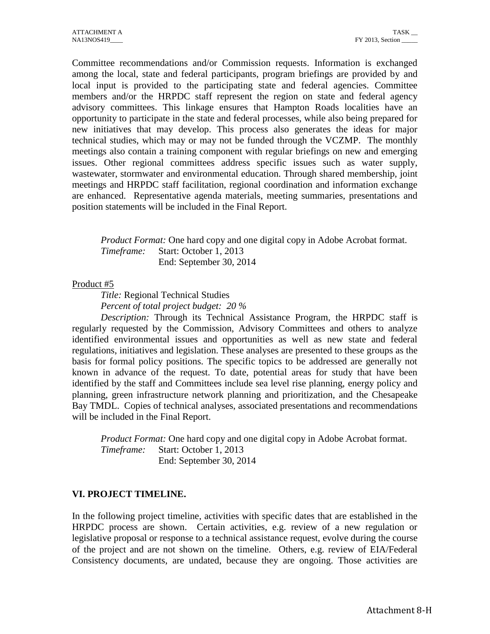Committee recommendations and/or Commission requests. Information is exchanged among the local, state and federal participants, program briefings are provided by and local input is provided to the participating state and federal agencies. Committee members and/or the HRPDC staff represent the region on state and federal agency advisory committees. This linkage ensures that Hampton Roads localities have an opportunity to participate in the state and federal processes, while also being prepared for new initiatives that may develop. This process also generates the ideas for major technical studies, which may or may not be funded through the VCZMP. The monthly meetings also contain a training component with regular briefings on new and emerging issues. Other regional committees address specific issues such as water supply, wastewater, stormwater and environmental education. Through shared membership, joint meetings and HRPDC staff facilitation, regional coordination and information exchange are enhanced. Representative agenda materials, meeting summaries, presentations and position statements will be included in the Final Report.

*Product Format:* One hard copy and one digital copy in Adobe Acrobat format. *Timeframe:* Start: October 1, 2013 End: September 30, 2014

Product #5

*Title:* Regional Technical Studies *Percent of total project budget: 20 %*

*Description:* Through its Technical Assistance Program, the HRPDC staff is regularly requested by the Commission, Advisory Committees and others to analyze identified environmental issues and opportunities as well as new state and federal regulations, initiatives and legislation. These analyses are presented to these groups as the basis for formal policy positions. The specific topics to be addressed are generally not known in advance of the request. To date, potential areas for study that have been identified by the staff and Committees include sea level rise planning, energy policy and planning, green infrastructure network planning and prioritization, and the Chesapeake Bay TMDL. Copies of technical analyses, associated presentations and recommendations will be included in the Final Report.

*Product Format:* One hard copy and one digital copy in Adobe Acrobat format. *Timeframe:* Start: October 1, 2013 End: September 30, 2014

# **VI. PROJECT TIMELINE.**

In the following project timeline, activities with specific dates that are established in the HRPDC process are shown. Certain activities, e.g. review of a new regulation or legislative proposal or response to a technical assistance request, evolve during the course of the project and are not shown on the timeline. Others, e.g. review of EIA/Federal Consistency documents, are undated, because they are ongoing. Those activities are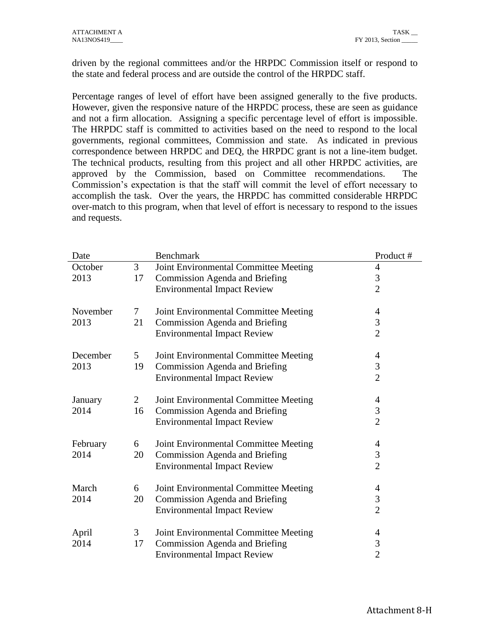driven by the regional committees and/or the HRPDC Commission itself or respond to the state and federal process and are outside the control of the HRPDC staff.

Percentage ranges of level of effort have been assigned generally to the five products. However, given the responsive nature of the HRPDC process, these are seen as guidance and not a firm allocation. Assigning a specific percentage level of effort is impossible. The HRPDC staff is committed to activities based on the need to respond to the local governments, regional committees, Commission and state. As indicated in previous correspondence between HRPDC and DEQ, the HRPDC grant is not a line-item budget. The technical products, resulting from this project and all other HRPDC activities, are approved by the Commission, based on Committee recommendations. The Commission's expectation is that the staff will commit the level of effort necessary to accomplish the task. Over the years, the HRPDC has committed considerable HRPDC over-match to this program, when that level of effort is necessary to respond to the issues and requests.

| Date     |                 | <b>Benchmark</b>                      | Product#       |
|----------|-----------------|---------------------------------------|----------------|
| October  | 3               | Joint Environmental Committee Meeting | $\overline{4}$ |
| 2013     | 17              | Commission Agenda and Briefing        | 3              |
|          |                 | <b>Environmental Impact Review</b>    | $\overline{2}$ |
|          |                 |                                       |                |
| November | $7\overline{ }$ | Joint Environmental Committee Meeting | 4              |
| 2013     | 21              | Commission Agenda and Briefing        | 3              |
|          |                 | <b>Environmental Impact Review</b>    | $\overline{2}$ |
| December | 5 <sup>5</sup>  | Joint Environmental Committee Meeting | 4              |
| 2013     | 19              | Commission Agenda and Briefing        | $\mathfrak{Z}$ |
|          |                 | <b>Environmental Impact Review</b>    | $\overline{2}$ |
|          |                 |                                       |                |
| January  | $\overline{2}$  | Joint Environmental Committee Meeting | 4              |
| 2014     | 16              | Commission Agenda and Briefing        | $\mathfrak{Z}$ |
|          |                 | <b>Environmental Impact Review</b>    | $\overline{2}$ |
|          |                 |                                       |                |
| February | 6               | Joint Environmental Committee Meeting | 4<br>3         |
| 2014     | 20              | Commission Agenda and Briefing        |                |
|          |                 | <b>Environmental Impact Review</b>    | $\overline{2}$ |
| March    | 6               | Joint Environmental Committee Meeting | 4              |
| 2014     | 20              | Commission Agenda and Briefing        | $\mathfrak{Z}$ |
|          |                 | <b>Environmental Impact Review</b>    | $\overline{2}$ |
|          |                 |                                       |                |
| April    | 3               | Joint Environmental Committee Meeting | 4              |
| 2014     | 17              | Commission Agenda and Briefing        | $\mathfrak{Z}$ |
|          |                 | <b>Environmental Impact Review</b>    | $\overline{2}$ |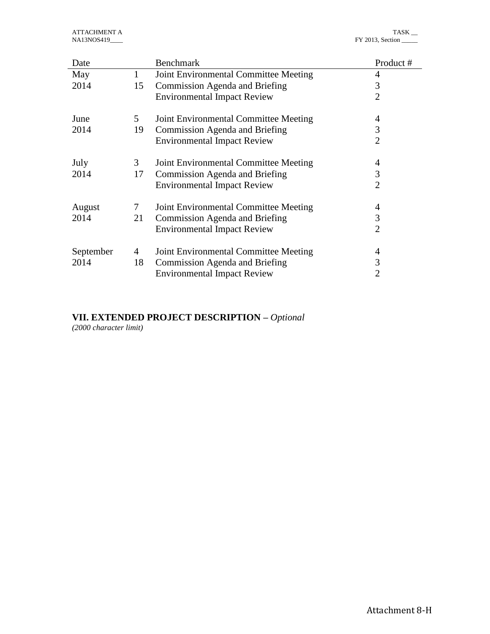| Date      |                 | <b>Benchmark</b>                      | Product#       |
|-----------|-----------------|---------------------------------------|----------------|
| May       | $\mathbf{1}$    | Joint Environmental Committee Meeting | 4              |
| 2014      | 15              | Commission Agenda and Briefing        | 3              |
|           |                 | <b>Environmental Impact Review</b>    | $\overline{2}$ |
| June      | 5               | Joint Environmental Committee Meeting | 4              |
| 2014      | 19              | Commission Agenda and Briefing        | 3              |
|           |                 | <b>Environmental Impact Review</b>    | $\overline{2}$ |
| July      | 3               | Joint Environmental Committee Meeting | 4              |
| 2014      | 17              | Commission Agenda and Briefing        | 3              |
|           |                 | <b>Environmental Impact Review</b>    | $\overline{2}$ |
| August    | $7\phantom{.0}$ | Joint Environmental Committee Meeting | 4              |
| 2014      | 21              | Commission Agenda and Briefing        | 3              |
|           |                 | <b>Environmental Impact Review</b>    | $\overline{2}$ |
| September | 4               | Joint Environmental Committee Meeting | 4              |
| 2014      | 18              | Commission Agenda and Briefing        | 3              |
|           |                 | <b>Environmental Impact Review</b>    | $\overline{2}$ |

# **VII. EXTENDED PROJECT DESCRIPTION –** *Optional*

*(2000 character limit)*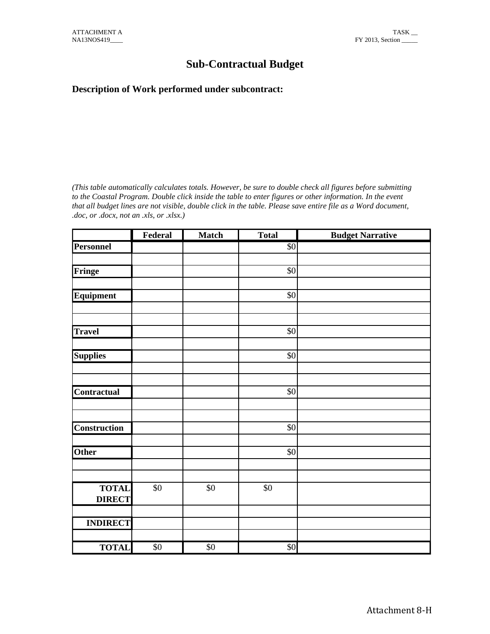# **Sub-Contractual Budget**

# **Description of Work performed under subcontract:**

*(This table automatically calculates totals. However, be sure to double check all figures before submitting to the Coastal Program. Double click inside the table to enter figures or other information. In the event that all budget lines are not visible, double click in the table. Please save entire file as a Word document, .doc, or .docx, not an .xls, or .xlsx.)*  Frame Double click inside the table to enter figures or other information. In the every the not visible, double click in the table. Please save entire file as a Word docum state, or state,  $\frac{1}{s}$  **Federal** Match **Total** 

|                               | Federal     | <b>Match</b>    | <b>Total</b> | <b>Budget Narrative</b> |
|-------------------------------|-------------|-----------------|--------------|-------------------------|
| <b>Personnel</b>              |             |                 | \$0          |                         |
| Fringe                        |             |                 | \$0          |                         |
| Equipment                     |             |                 | \$0          |                         |
| <b>Travel</b>                 |             |                 | \$0          |                         |
| <b>Supplies</b>               |             |                 | \$0          |                         |
| Contractual                   |             |                 | \$0          |                         |
| <b>Construction</b>           |             |                 | \$0          |                         |
| <b>Other</b>                  |             |                 | \$0          |                         |
| <b>TOTAL</b><br><b>DIRECT</b> | $\$0$       | $\$0$           | $\$0$        |                         |
| <b>INDIRECT</b>               |             |                 |              |                         |
| <b>TOTAL</b>                  | $\sqrt{$0}$ | $\overline{50}$ | \$0          |                         |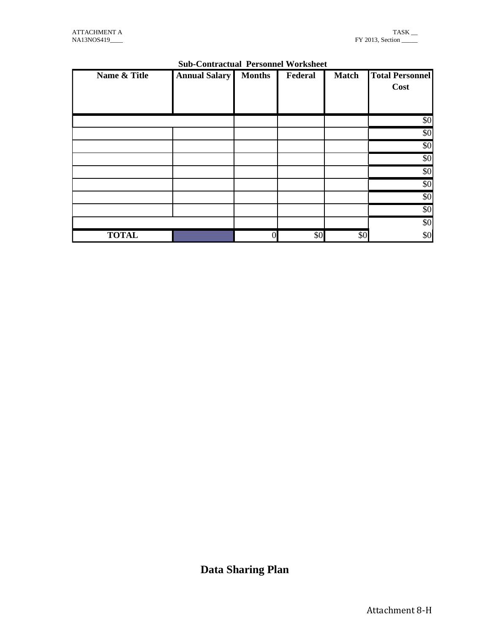| NA13NOS419   |                                            |                |         |              | $\cdots$<br>FY 2013, Section _____ |
|--------------|--------------------------------------------|----------------|---------|--------------|------------------------------------|
|              | <b>Sub-Contractual Personnel Worksheet</b> |                |         |              |                                    |
| Name & Title | <b>Annual Salary</b>                       | <b>Months</b>  | Federal | <b>Match</b> | <b>Total Personnel</b><br>Cost     |
|              |                                            |                |         |              | \$0                                |
|              |                                            |                |         |              | \$0                                |
|              |                                            |                |         |              | \$0                                |
|              |                                            |                |         |              | \$0                                |
|              |                                            |                |         |              | \$0                                |
|              |                                            |                |         |              | \$0                                |
|              |                                            |                |         |              | $\sqrt{6}$                         |
|              |                                            |                |         |              | \$0                                |
|              |                                            |                |         |              | \$0                                |
| <b>TOTAL</b> |                                            | $\overline{0}$ | \$0     | \$0          | \$0                                |

# **Sub-Contractual Personnel Worksheet**

**Data Sharing Plan**